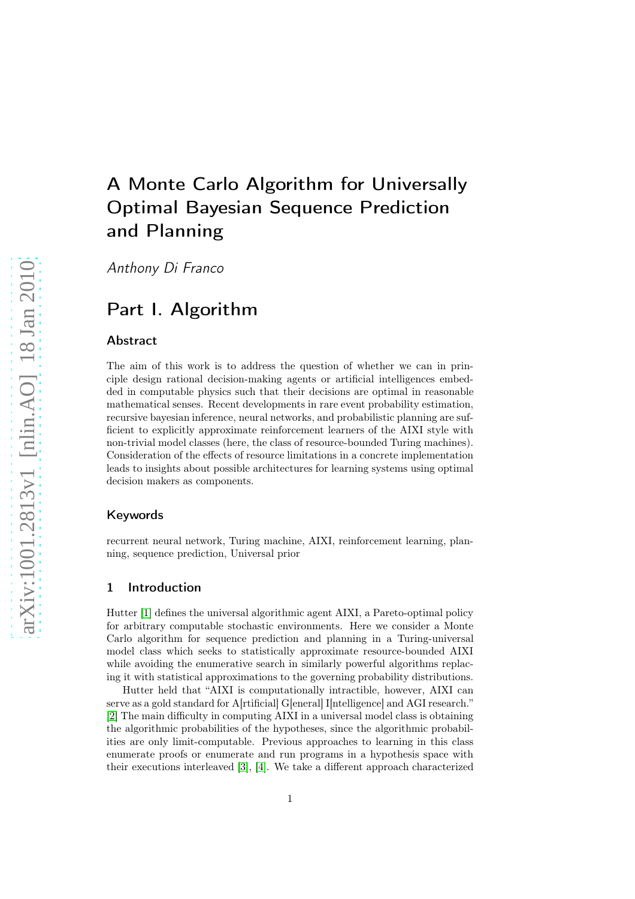# A Monte Carlo Algorithm for Universally Optimal Bayesian Sequence Prediction and Planning

Anthony Di Franco

## Part I. Algorithm

## Abstract

The aim of this work is to address the question of whether we can in principle design rational decision-making agents or artificial intelligences embedded in computable physics such that their decisions are optimal in reasonable mathematical senses. Recent developments in rare event probability estimation, recursive bayesian inference, neural networks, and probabilistic planning are sufficient to explicitly approximate reinforcement learners of the AIXI style with non-trivial model classes (here, the class of resource-bounded Turing machines). Consideration of the effects of resource limitations in a concrete implementation leads to insights about possible architectures for learning systems using optimal decision makers as components.

## Keywords

recurrent neural network, Turing machine, AIXI, reinforcement learning, planning, sequence prediction, Universal prior

## 1 Introduction

Hutter [\[1\]](#page-7-0) defines the universal algorithmic agent AIXI, a Pareto-optimal policy for arbitrary computable stochastic environments. Here we consider a Monte Carlo algorithm for sequence prediction and planning in a Turing-universal model class which seeks to statistically approximate resource-bounded AIXI while avoiding the enumerative search in similarly powerful algorithms replacing it with statistical approximations to the governing probability distributions.

Hutter held that "AIXI is computationally intractible, however, AIXI can serve as a gold standard for A[rtificial] G[eneral] I[ntelligence] and AGI research." [\[2\]](#page-7-1) The main difficulty in computing AIXI in a universal model class is obtaining the algorithmic probabilities of the hypotheses, since the algorithmic probabilities are only limit-computable. Previous approaches to learning in this class enumerate proofs or enumerate and run programs in a hypothesis space with their executions interleaved [\[3\]](#page-7-2), [\[4\]](#page-7-3). We take a different approach characterized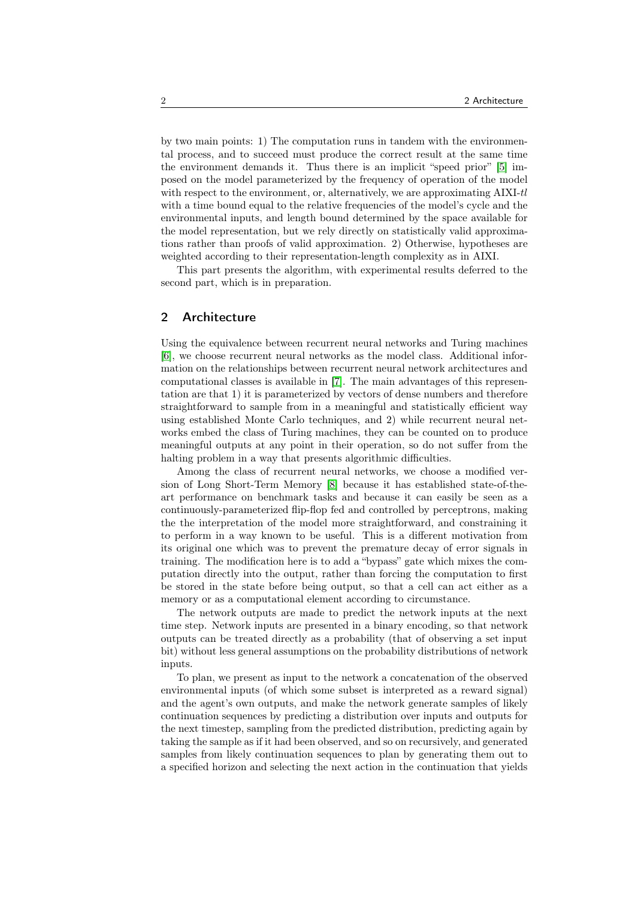by two main points: 1) The computation runs in tandem with the environmental process, and to succeed must produce the correct result at the same time the environment demands it. Thus there is an implicit "speed prior" [\[5\]](#page-7-4) imposed on the model parameterized by the frequency of operation of the model with respect to the environment, or, alternatively, we are approximating AIXI-tl with a time bound equal to the relative frequencies of the model's cycle and the environmental inputs, and length bound determined by the space available for the model representation, but we rely directly on statistically valid approximations rather than proofs of valid approximation. 2) Otherwise, hypotheses are weighted according to their representation-length complexity as in AIXI.

This part presents the algorithm, with experimental results deferred to the second part, which is in preparation.

## 2 Architecture

Using the equivalence between recurrent neural networks and Turing machines [\[6\]](#page-7-5), we choose recurrent neural networks as the model class. Additional information on the relationships between recurrent neural network architectures and computational classes is available in [\[7\]](#page-7-6). The main advantages of this representation are that 1) it is parameterized by vectors of dense numbers and therefore straightforward to sample from in a meaningful and statistically efficient way using established Monte Carlo techniques, and 2) while recurrent neural networks embed the class of Turing machines, they can be counted on to produce meaningful outputs at any point in their operation, so do not suffer from the halting problem in a way that presents algorithmic difficulties.

Among the class of recurrent neural networks, we choose a modified version of Long Short-Term Memory [\[8\]](#page-8-0) because it has established state-of-theart performance on benchmark tasks and because it can easily be seen as a continuously-parameterized flip-flop fed and controlled by perceptrons, making the the interpretation of the model more straightforward, and constraining it to perform in a way known to be useful. This is a different motivation from its original one which was to prevent the premature decay of error signals in training. The modification here is to add a "bypass" gate which mixes the computation directly into the output, rather than forcing the computation to first be stored in the state before being output, so that a cell can act either as a memory or as a computational element according to circumstance.

The network outputs are made to predict the network inputs at the next time step. Network inputs are presented in a binary encoding, so that network outputs can be treated directly as a probability (that of observing a set input bit) without less general assumptions on the probability distributions of network inputs.

To plan, we present as input to the network a concatenation of the observed environmental inputs (of which some subset is interpreted as a reward signal) and the agent's own outputs, and make the network generate samples of likely continuation sequences by predicting a distribution over inputs and outputs for the next timestep, sampling from the predicted distribution, predicting again by taking the sample as if it had been observed, and so on recursively, and generated samples from likely continuation sequences to plan by generating them out to a specified horizon and selecting the next action in the continuation that yields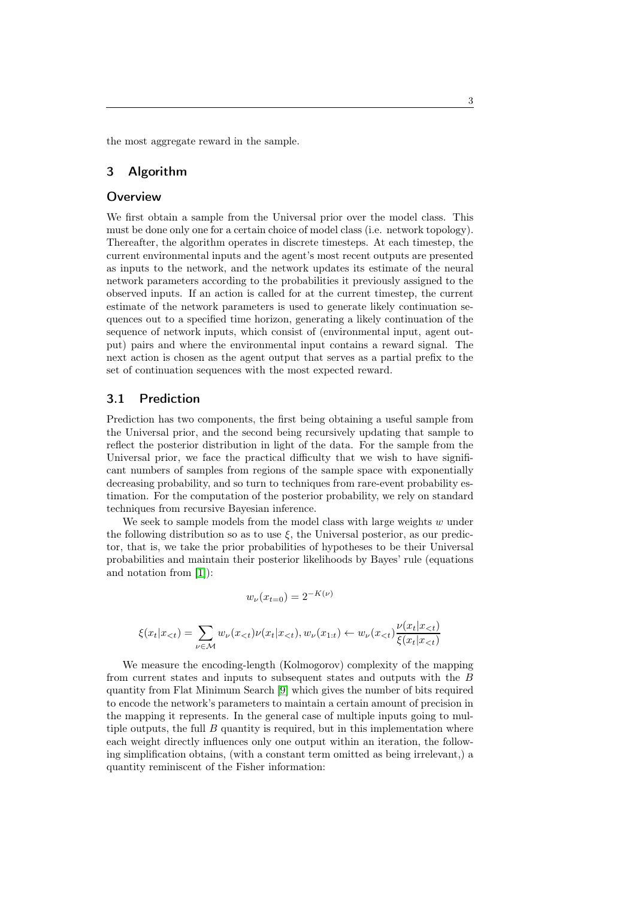the most aggregate reward in the sample.

## 3 Algorithm

## **Overview**

We first obtain a sample from the Universal prior over the model class. This must be done only one for a certain choice of model class (i.e. network topology). Thereafter, the algorithm operates in discrete timesteps. At each timestep, the current environmental inputs and the agent's most recent outputs are presented as inputs to the network, and the network updates its estimate of the neural network parameters according to the probabilities it previously assigned to the observed inputs. If an action is called for at the current timestep, the current estimate of the network parameters is used to generate likely continuation sequences out to a specified time horizon, generating a likely continuation of the sequence of network inputs, which consist of (environmental input, agent output) pairs and where the environmental input contains a reward signal. The next action is chosen as the agent output that serves as a partial prefix to the set of continuation sequences with the most expected reward.

## 3.1 Prediction

Prediction has two components, the first being obtaining a useful sample from the Universal prior, and the second being recursively updating that sample to reflect the posterior distribution in light of the data. For the sample from the Universal prior, we face the practical difficulty that we wish to have significant numbers of samples from regions of the sample space with exponentially decreasing probability, and so turn to techniques from rare-event probability estimation. For the computation of the posterior probability, we rely on standard techniques from recursive Bayesian inference.

We seek to sample models from the model class with large weights  $w$  under the following distribution so as to use  $\xi$ , the Universal posterior, as our predictor, that is, we take the prior probabilities of hypotheses to be their Universal probabilities and maintain their posterior likelihoods by Bayes' rule (equations and notation from [\[1\]](#page-7-0)):

$$
w_{\nu}(x_{t=0}) = 2^{-K(\nu)}
$$

$$
\xi(x_t|x_{< t}) = \sum_{\nu \in \mathcal{M}} w_{\nu}(x_{< t}) \nu(x_t|x_{< t}), w_{\nu}(x_{1:t}) \leftarrow w_{\nu}(x_{< t}) \frac{\nu(x_t|x_{< t})}{\xi(x_t|x_{< t})}
$$

We measure the encoding-length (Kolmogorov) complexity of the mapping from current states and inputs to subsequent states and outputs with the B quantity from Flat Minimum Search [\[9\]](#page-8-1) which gives the number of bits required to encode the network's parameters to maintain a certain amount of precision in the mapping it represents. In the general case of multiple inputs going to multiple outputs, the full  $B$  quantity is required, but in this implementation where each weight directly influences only one output within an iteration, the following simplification obtains, (with a constant term omitted as being irrelevant,) a quantity reminiscent of the Fisher information: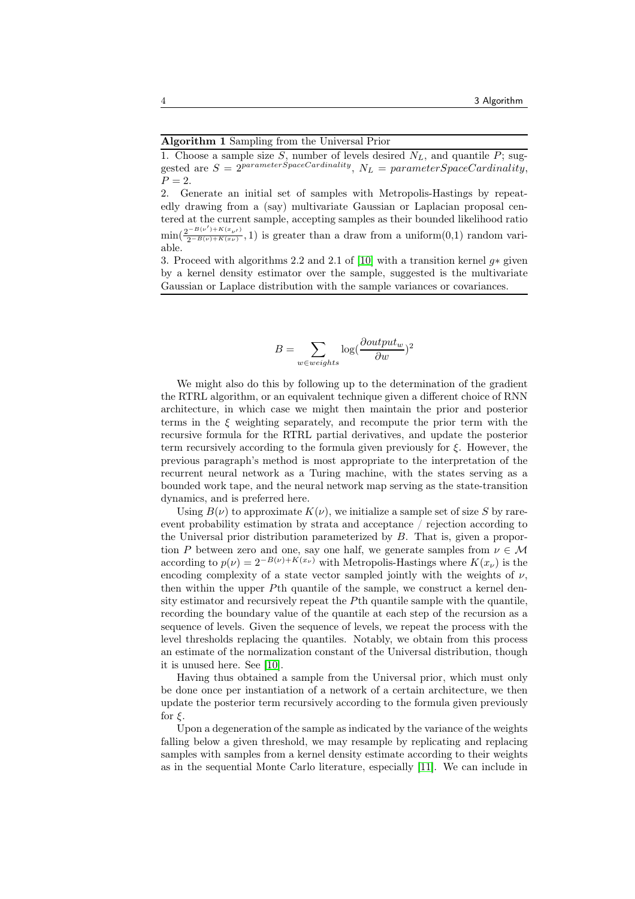#### Algorithm 1 Sampling from the Universal Prior

1. Choose a sample size S, number of levels desired  $N_L$ , and quantile P; suggested are  $S = 2^{parameterSpaceCardinality}, N_L = parameterSpaceCardinality,$  $P = 2$ .

2. Generate an initial set of samples with Metropolis-Hastings by repeatedly drawing from a (say) multivariate Gaussian or Laplacian proposal centered at the current sample, accepting samples as their bounded likelihood ratio  $\min(\frac{2^{-B(\nu')+K(x_{\nu'})}}{2^{-B(\nu)+K(x_{\nu'})}})$  $2^{-B(\nu)+K(x_{\nu})}$ , 1) is greater than a draw from a uniform $(0,1)$  random variable.

3. Proceed with algorithms 2.2 and 2.1 of [\[10\]](#page-8-2) with a transition kernel  $g*$  given by a kernel density estimator over the sample, suggested is the multivariate Gaussian or Laplace distribution with the sample variances or covariances.

$$
B = \sum_{w \in weights} \log(\frac{\partial output_w}{\partial w})^2
$$

We might also do this by following up to the determination of the gradient the RTRL algorithm, or an equivalent technique given a different choice of RNN architecture, in which case we might then maintain the prior and posterior terms in the  $\xi$  weighting separately, and recompute the prior term with the recursive formula for the RTRL partial derivatives, and update the posterior term recursively according to the formula given previously for  $\xi$ . However, the previous paragraph's method is most appropriate to the interpretation of the recurrent neural network as a Turing machine, with the states serving as a bounded work tape, and the neural network map serving as the state-transition dynamics, and is preferred here.

Using  $B(\nu)$  to approximate  $K(\nu)$ , we initialize a sample set of size S by rareevent probability estimation by strata and acceptance / rejection according to the Universal prior distribution parameterized by  $B$ . That is, given a proportion P between zero and one, say one half, we generate samples from  $\nu \in \mathcal{M}$ according to  $p(\nu) = 2^{-B(\nu) + K(x_{\nu})}$  with Metropolis-Hastings where  $K(x_{\nu})$  is the encoding complexity of a state vector sampled jointly with the weights of  $\nu$ , then within the upper Pth quantile of the sample, we construct a kernel density estimator and recursively repeat the Pth quantile sample with the quantile, recording the boundary value of the quantile at each step of the recursion as a sequence of levels. Given the sequence of levels, we repeat the process with the level thresholds replacing the quantiles. Notably, we obtain from this process an estimate of the normalization constant of the Universal distribution, though it is unused here. See [\[10\]](#page-8-2).

Having thus obtained a sample from the Universal prior, which must only be done once per instantiation of a network of a certain architecture, we then update the posterior term recursively according to the formula given previously for  $\xi$ .

Upon a degeneration of the sample as indicated by the variance of the weights falling below a given threshold, we may resample by replicating and replacing samples with samples from a kernel density estimate according to their weights as in the sequential Monte Carlo literature, especially [\[11\]](#page-8-3). We can include in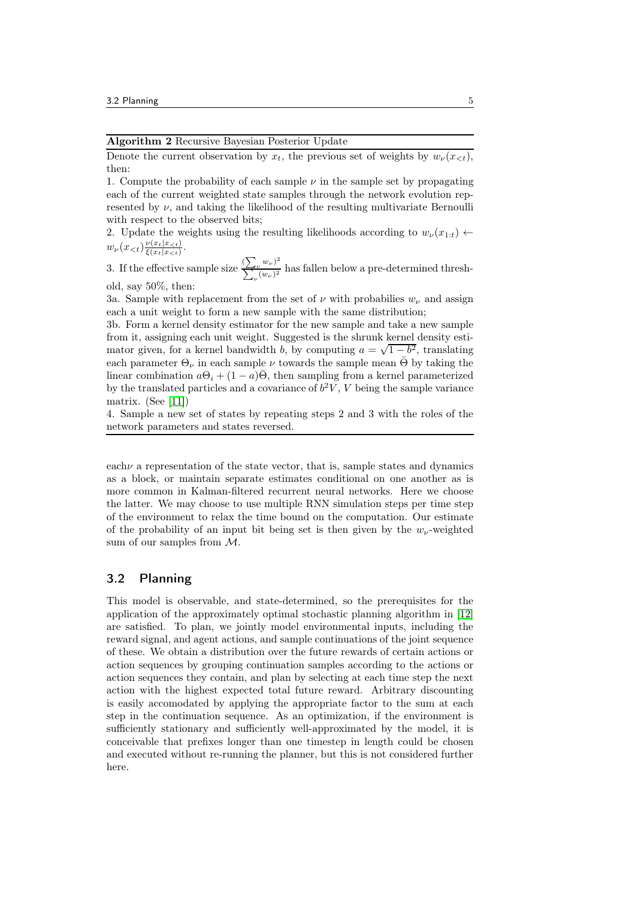Algorithm 2 Recursive Bayesian Posterior Update

Denote the current observation by  $x_t$ , the previous set of weights by  $w_{\nu}(x_{\leq t}),$ then:

1. Compute the probability of each sample  $\nu$  in the sample set by propagating each of the current weighted state samples through the network evolution represented by  $\nu$ , and taking the likelihood of the resulting multivariate Bernoulli with respect to the observed bits;

2. Update the weights using the resulting likelihoods according to  $w_{\nu}(x_{1:t}) \leftarrow$  $w_{\nu}(x_{\leq t}) \frac{\nu(x_t|x_{\leq t})}{\varepsilon(x_t|x_{\leq t})}$  $\frac{\nu(x_t|x_{<})}{\xi(x_t|x_{<})}.$ 

3. If the effective sample size  $\sum_{\mu} \frac{(\sum_{\nu} w_{\nu})^2}{(\mu - \mu)^2}$  $\sum_{\nu} \frac{\sum_{\nu} w_{\nu}}{(w_{\nu})^2}$  has fallen below a pre-determined threshold, say 50%, then:

3a. Sample with replacement from the set of  $\nu$  with probabilies  $w_{\nu}$  and assign each a unit weight to form a new sample with the same distribution;

3b. Form a kernel density estimator for the new sample and take a new sample from it, assigning each unit weight. Suggested is the shrunk kernel density estimator given, for a kernel bandwidth b, by computing  $a = \sqrt{1 - b^2}$ , translating each parameter  $\Theta_{\nu}$  in each sample  $\nu$  towards the sample mean  $\bar{\Theta}$  by taking the linear combination  $a\Theta_i + (1-a)\overline{\Theta}$ , then sampling from a kernel parameterized by the translated particles and a covariance of  $b^2V$ , V being the sample variance matrix. (See [\[11\]](#page-8-3))

4. Sample a new set of states by repeating steps 2 and 3 with the roles of the network parameters and states reversed.

each  $\nu$  a representation of the state vector, that is, sample states and dynamics as a block, or maintain separate estimates conditional on one another as is more common in Kalman-filtered recurrent neural networks. Here we choose the latter. We may choose to use multiple RNN simulation steps per time step of the environment to relax the time bound on the computation. Our estimate of the probability of an input bit being set is then given by the  $w_{\nu}$ -weighted sum of our samples from M.

## 3.2 Planning

This model is observable, and state-determined, so the prerequisites for the application of the approximately optimal stochastic planning algorithm in [\[12\]](#page-8-4) are satisfied. To plan, we jointly model environmental inputs, including the reward signal, and agent actions, and sample continuations of the joint sequence of these. We obtain a distribution over the future rewards of certain actions or action sequences by grouping continuation samples according to the actions or action sequences they contain, and plan by selecting at each time step the next action with the highest expected total future reward. Arbitrary discounting is easily accomodated by applying the appropriate factor to the sum at each step in the continuation sequence. As an optimization, if the environment is sufficiently stationary and sufficiently well-approximated by the model, it is conceivable that prefixes longer than one timestep in length could be chosen and executed without re-running the planner, but this is not considered further here.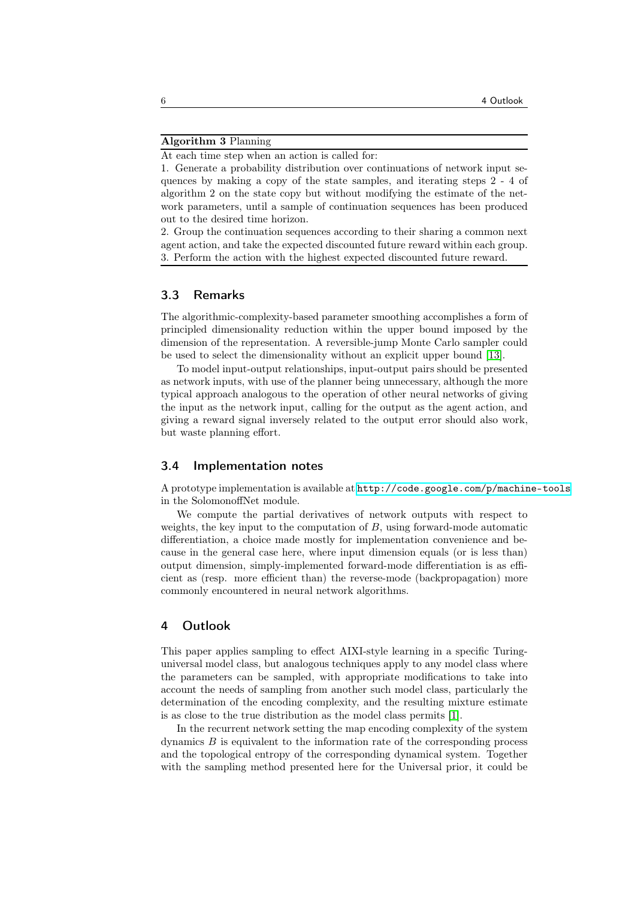#### Algorithm 3 Planning

At each time step when an action is called for:

1. Generate a probability distribution over continuations of network input sequences by making a copy of the state samples, and iterating steps 2 - 4 of algorithm 2 on the state copy but without modifying the estimate of the network parameters, until a sample of continuation sequences has been produced out to the desired time horizon.

2. Group the continuation sequences according to their sharing a common next agent action, and take the expected discounted future reward within each group. 3. Perform the action with the highest expected discounted future reward.

## 3.3 Remarks

The algorithmic-complexity-based parameter smoothing accomplishes a form of principled dimensionality reduction within the upper bound imposed by the dimension of the representation. A reversible-jump Monte Carlo sampler could be used to select the dimensionality without an explicit upper bound [\[13\]](#page-8-5).

To model input-output relationships, input-output pairs should be presented as network inputs, with use of the planner being unnecessary, although the more typical approach analogous to the operation of other neural networks of giving the input as the network input, calling for the output as the agent action, and giving a reward signal inversely related to the output error should also work, but waste planning effort.

## 3.4 Implementation notes

A prototype implementation is available at <http://code.google.com/p/machine-tools> in the SolomonoffNet module.

We compute the partial derivatives of network outputs with respect to weights, the key input to the computation of  $B$ , using forward-mode automatic differentiation, a choice made mostly for implementation convenience and because in the general case here, where input dimension equals (or is less than) output dimension, simply-implemented forward-mode differentiation is as efficient as (resp. more efficient than) the reverse-mode (backpropagation) more commonly encountered in neural network algorithms.

## 4 Outlook

This paper applies sampling to effect AIXI-style learning in a specific Turinguniversal model class, but analogous techniques apply to any model class where the parameters can be sampled, with appropriate modifications to take into account the needs of sampling from another such model class, particularly the determination of the encoding complexity, and the resulting mixture estimate is as close to the true distribution as the model class permits [\[1\]](#page-7-0).

In the recurrent network setting the map encoding complexity of the system dynamics  $B$  is equivalent to the information rate of the corresponding process and the topological entropy of the corresponding dynamical system. Together with the sampling method presented here for the Universal prior, it could be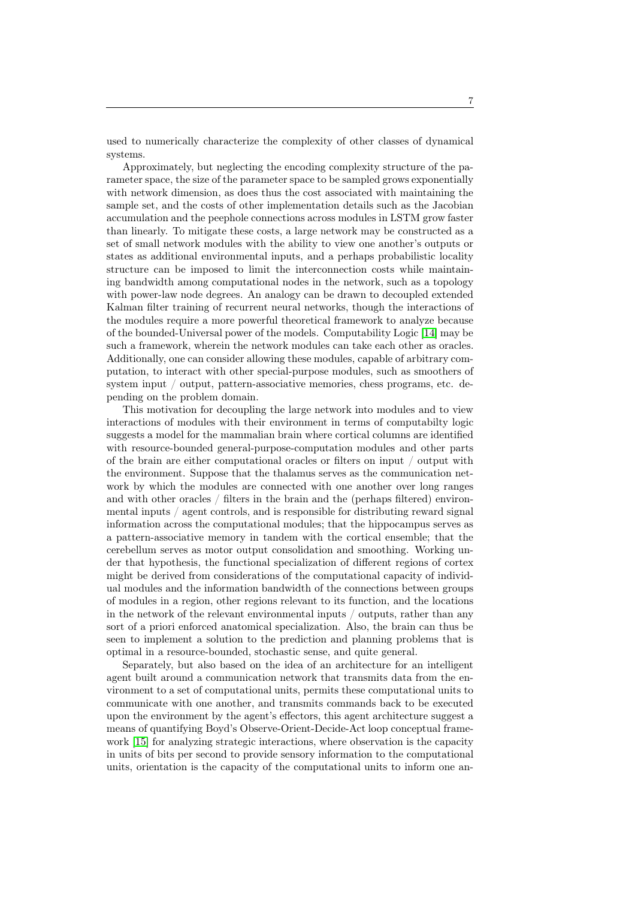used to numerically characterize the complexity of other classes of dynamical systems.

Approximately, but neglecting the encoding complexity structure of the parameter space, the size of the parameter space to be sampled grows exponentially with network dimension, as does thus the cost associated with maintaining the sample set, and the costs of other implementation details such as the Jacobian accumulation and the peephole connections across modules in LSTM grow faster than linearly. To mitigate these costs, a large network may be constructed as a set of small network modules with the ability to view one another's outputs or states as additional environmental inputs, and a perhaps probabilistic locality structure can be imposed to limit the interconnection costs while maintaining bandwidth among computational nodes in the network, such as a topology with power-law node degrees. An analogy can be drawn to decoupled extended Kalman filter training of recurrent neural networks, though the interactions of the modules require a more powerful theoretical framework to analyze because of the bounded-Universal power of the models. Computability Logic [\[14\]](#page-8-6) may be such a framework, wherein the network modules can take each other as oracles. Additionally, one can consider allowing these modules, capable of arbitrary computation, to interact with other special-purpose modules, such as smoothers of system input / output, pattern-associative memories, chess programs, etc. depending on the problem domain.

This motivation for decoupling the large network into modules and to view interactions of modules with their environment in terms of computabilty logic suggests a model for the mammalian brain where cortical columns are identified with resource-bounded general-purpose-computation modules and other parts of the brain are either computational oracles or filters on input / output with the environment. Suppose that the thalamus serves as the communication network by which the modules are connected with one another over long ranges and with other oracles / filters in the brain and the (perhaps filtered) environmental inputs / agent controls, and is responsible for distributing reward signal information across the computational modules; that the hippocampus serves as a pattern-associative memory in tandem with the cortical ensemble; that the cerebellum serves as motor output consolidation and smoothing. Working under that hypothesis, the functional specialization of different regions of cortex might be derived from considerations of the computational capacity of individual modules and the information bandwidth of the connections between groups of modules in a region, other regions relevant to its function, and the locations in the network of the relevant environmental inputs / outputs, rather than any sort of a priori enforced anatomical specialization. Also, the brain can thus be seen to implement a solution to the prediction and planning problems that is optimal in a resource-bounded, stochastic sense, and quite general.

Separately, but also based on the idea of an architecture for an intelligent agent built around a communication network that transmits data from the environment to a set of computational units, permits these computational units to communicate with one another, and transmits commands back to be executed upon the environment by the agent's effectors, this agent architecture suggest a means of quantifying Boyd's Observe-Orient-Decide-Act loop conceptual framework [\[15\]](#page-8-7) for analyzing strategic interactions, where observation is the capacity in units of bits per second to provide sensory information to the computational units, orientation is the capacity of the computational units to inform one an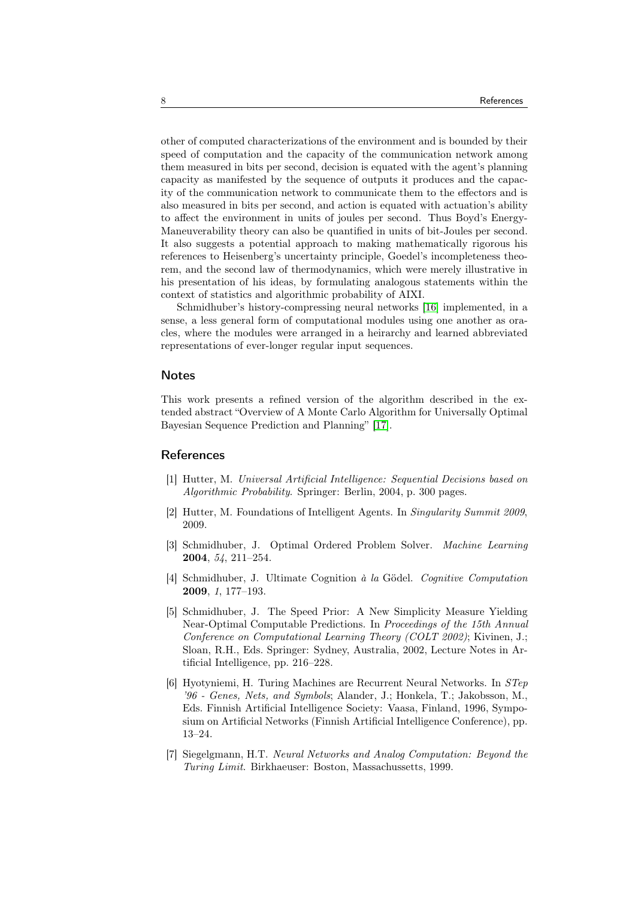other of computed characterizations of the environment and is bounded by their speed of computation and the capacity of the communication network among them measured in bits per second, decision is equated with the agent's planning capacity as manifested by the sequence of outputs it produces and the capacity of the communication network to communicate them to the effectors and is also measured in bits per second, and action is equated with actuation's ability to affect the environment in units of joules per second. Thus Boyd's Energy-Maneuverability theory can also be quantified in units of bit-Joules per second. It also suggests a potential approach to making mathematically rigorous his references to Heisenberg's uncertainty principle, Goedel's incompleteness theorem, and the second law of thermodynamics, which were merely illustrative in his presentation of his ideas, by formulating analogous statements within the context of statistics and algorithmic probability of AIXI.

Schmidhuber's history-compressing neural networks [\[16\]](#page-8-8) implemented, in a sense, a less general form of computational modules using one another as oracles, where the modules were arranged in a heirarchy and learned abbreviated representations of ever-longer regular input sequences.

#### Notes

This work presents a refined version of the algorithm described in the extended abstract "Overview of A Monte Carlo Algorithm for Universally Optimal Bayesian Sequence Prediction and Planning" [\[17\]](#page-8-9).

## <span id="page-7-0"></span>References

- [1] Hutter, M. Universal Artificial Intelligence: Sequential Decisions based on Algorithmic Probability. Springer: Berlin, 2004, p. 300 pages.
- <span id="page-7-2"></span><span id="page-7-1"></span>[2] Hutter, M. Foundations of Intelligent Agents. In Singularity Summit 2009, 2009.
- [3] Schmidhuber, J. Optimal Ordered Problem Solver. Machine Learning 2004, 54, 211–254.
- <span id="page-7-3"></span>[4] Schmidhuber, J. Ultimate Cognition à la Gödel. Cognitive Computation 2009, 1, 177–193.
- <span id="page-7-4"></span>[5] Schmidhuber, J. The Speed Prior: A New Simplicity Measure Yielding Near-Optimal Computable Predictions. In Proceedings of the 15th Annual Conference on Computational Learning Theory (COLT 2002); Kivinen, J.; Sloan, R.H., Eds. Springer: Sydney, Australia, 2002, Lecture Notes in Artificial Intelligence, pp. 216–228.
- <span id="page-7-5"></span>[6] Hyotyniemi, H. Turing Machines are Recurrent Neural Networks. In STep '96 - Genes, Nets, and Symbols; Alander, J.; Honkela, T.; Jakobsson, M., Eds. Finnish Artificial Intelligence Society: Vaasa, Finland, 1996, Symposium on Artificial Networks (Finnish Artificial Intelligence Conference), pp. 13–24.
- <span id="page-7-6"></span>[7] Siegelgmann, H.T. Neural Networks and Analog Computation: Beyond the Turing Limit. Birkhaeuser: Boston, Massachussetts, 1999.